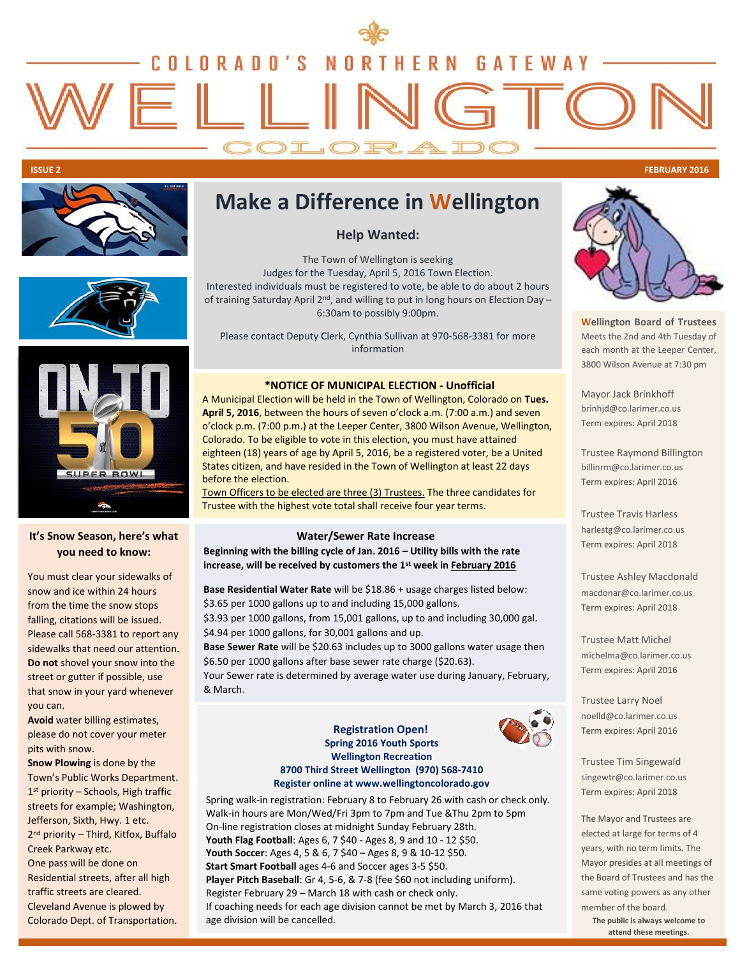# COLORADO'S **N** ORT **HERN GATEWAY** FII

COLOR.

**ISSUE 2 FEBRUARY 2016**



## **Make a Difference in Wellington**

**Help Wanted:** 

The Town of Wellington is seeking Judges for the Tuesday, April 5, 2016 Town Election. Interested individuals must be registered to vote, be able to do about 2 hours of training Saturday April 2<sup>nd</sup>, and willing to put in long hours on Election Day  $-$ 6:30am to possibly 9:00pm.

Please contact Deputy Clerk, Cynthia Sullivan at 970-568-3381 for more information

#### **\*NOTICE OF MUNICIPAL ELECTION - Unofficial**

A Municipal Election will be held in the Town of Wellington, Colorado on **Tues. April 5, 2016**, between the hours of seven o'clock a.m. (7:00 a.m.) and seven o'clock p.m. (7:00 p.m.) at the Leeper Center, 3800 Wilson Avenue, Wellington, Colorado. To be eligible to vote in this election, you must have attained eighteen (18) years of age by April 5, 2016, be a registered voter, be a United States citizen, and have resided in the Town of Wellington at least 22 days before the election.

Town Officers to be elected are three (3) Trustees. The three candidates for Trustee with the highest vote total shall receive four year terms.

### **Water/Sewer Rate Increase**

**Beginning with the billing cycle of Jan. 2016 – Utility bills with the rate increase, will be received by customers the 1st week in February 2016** 

**Base Residential Water Rate** will be \$18.86 + usage charges listed below: \$3.65 per 1000 gallons up to and including 15,000 gallons. \$3.93 per 1000 gallons, from 15,001 gallons, up to and including 30,000 gal. \$4.94 per 1000 gallons, for 30,001 gallons and up.

**Base Sewer Rate** will be \$20.63 includes up to 3000 gallons water usage then \$6.50 per 1000 gallons after base sewer rate charge (\$20.63).

Your Sewer rate is determined by average water use during January, February, & March.

#### **Registration Open! Spring 2016 Youth Sports Wellington Recreation 8700 Third Street Wellington (970) 568-7410 Register online at www.wellingtoncolorado.gov**

Spring walk-in registration: February 8 to February 26 with cash or check only. Walk-in hours are Mon/Wed/Fri 3pm to 7pm and Tue &Thu 2pm to 5pm On-line registration closes at midnight Sunday February 28th. **Youth Flag Football**: Ages 6, 7 \$40 - Ages 8, 9 and 10 - 12 \$50. **Youth Soccer**: Ages 4, 5 & 6, 7 \$40 – Ages 8, 9 & 10-12 \$50. **Start Smart Football** ages 4-6 and Soccer ages 3-5 \$50. **Player Pitch Baseball**: Gr 4, 5-6, & 7-8 (fee \$60 not including uniform). Register February 29 – March 18 with cash or check only. If coaching needs for each age division cannot be met by March 3, 2016 that age division will be cancelled.

i

**Wellington Board of Trustees** Meets the 2nd and 4th Tuesday of each month at the Leeper Center, 3800 Wilson Avenue at 7:30 pm

Mayor Jack Brinkhoff brinhjd@co.larimer.co.us Term expires: April 2018

Trustee Raymond Billington billinrm@co.larimer.co.us Term expires: April 2016

Trustee Travis Harless harlestg@co.larimer.co.us Term expires: April 2018

Trustee Ashley Macdonald macdonar@co.larimer.co.us Term expires: April 2018

Trustee Matt Michel michelma@co.larimer.co.us Term expires: April 2016

Trustee Larry Noel noelld@co.larimer.co.us Term expires: April 2016

Trustee Tim Singewald singewtr@co.larimer.co.us Term expires: April 2018

The Mayor and Trustees are elected at large for terms of 4 years, with no term limits. The Mayor presides at all meetings of the Board of Trustees and has the same voting powers as any other member of the board.

**The public is always welcome to attend these meetings.**



### **It's Snow Season, here's what you need to know:**

**ER BOWL** 

You must clear your sidewalks of snow and ice within 24 hours from the time the snow stops falling, citations will be issued. Please call 568-3381 to report any sidewalks that need our attention. **Do not** shovel your snow into the street or gutter if possible, use that snow in your yard whenever you can.

**Avoid** water billing estimates, please do not cover your meter pits with snow.

**Snow Plowing** is done by the Town's Public Works Department. 1 st priority – Schools, High traffic streets for example; Washington, Jefferson, Sixth, Hwy. 1 etc. 2 nd priority – Third, Kitfox, Buffalo Creek Parkway etc. One pass will be done on Residential streets, after all high traffic streets are cleared. Cleveland Avenue is plowed by Colorado Dept. of Transportation.